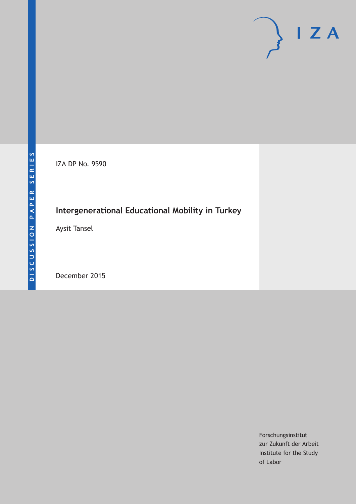IZA DP No. 9590

# **Intergenerational Educational Mobility in Turkey**

Aysit Tansel

December 2015

Forschungsinstitut zur Zukunft der Arbeit Institute for the Study of Labor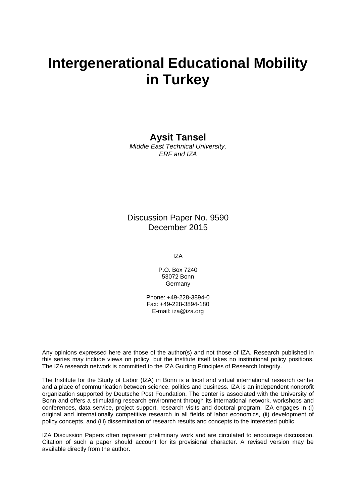# **Intergenerational Educational Mobility in Turkey**

# **Aysit Tansel**

*Middle East Technical University, ERF and IZA* 

# Discussion Paper No. 9590 December 2015

IZA

P.O. Box 7240 53072 Bonn Germany

Phone: +49-228-3894-0 Fax: +49-228-3894-180 E-mail: iza@iza.org

Any opinions expressed here are those of the author(s) and not those of IZA. Research published in this series may include views on policy, but the institute itself takes no institutional policy positions. The IZA research network is committed to the IZA Guiding Principles of Research Integrity.

The Institute for the Study of Labor (IZA) in Bonn is a local and virtual international research center and a place of communication between science, politics and business. IZA is an independent nonprofit organization supported by Deutsche Post Foundation. The center is associated with the University of Bonn and offers a stimulating research environment through its international network, workshops and conferences, data service, project support, research visits and doctoral program. IZA engages in (i) original and internationally competitive research in all fields of labor economics, (ii) development of policy concepts, and (iii) dissemination of research results and concepts to the interested public.

IZA Discussion Papers often represent preliminary work and are circulated to encourage discussion. Citation of such a paper should account for its provisional character. A revised version may be available directly from the author.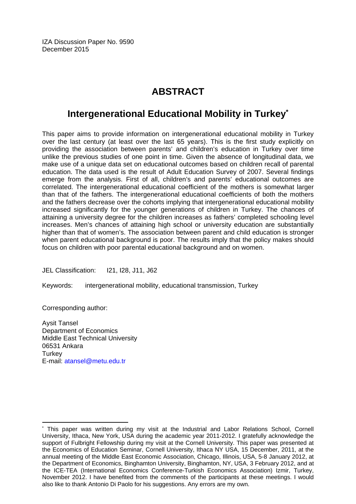IZA Discussion Paper No. 9590 December 2015

# **ABSTRACT**

# **Intergenerational Educational Mobility in Turkey\***

This paper aims to provide information on intergenerational educational mobility in Turkey over the last century (at least over the last 65 years). This is the first study explicitly on providing the association between parents' and children's education in Turkey over time unlike the previous studies of one point in time. Given the absence of longitudinal data, we make use of a unique data set on educational outcomes based on children recall of parental education. The data used is the result of Adult Education Survey of 2007. Several findings emerge from the analysis. First of all, children's and parents' educational outcomes are correlated. The intergenerational educational coefficient of the mothers is somewhat larger than that of the fathers. The intergenerational educational coefficients of both the mothers and the fathers decrease over the cohorts implying that intergenerational educational mobility increased significantly for the younger generations of children in Turkey. The chances of attaining a university degree for the children increases as fathers' completed schooling level increases. Men's chances of attaining high school or university education are substantially higher than that of women's. The association between parent and child education is stronger when parent educational background is poor. The results imply that the policy makes should focus on children with poor parental educational background and on women.

JEL Classification: I21, I28, J11, J62

Keywords: intergenerational mobility, educational transmission, Turkey

Corresponding author:

 $\overline{a}$ 

Aysit Tansel Department of Economics Middle East Technical University 06531 Ankara **Turkey** E-mail: atansel@metu.edu.tr

<sup>\*</sup> This paper was written during my visit at the Industrial and Labor Relations School, Cornell University, Ithaca, New York, USA during the academic year 2011-2012. I gratefully acknowledge the support of Fulbright Fellowship during my visit at the Cornell University. This paper was presented at the Economics of Education Seminar, Cornell University, Ithaca NY USA, 15 December, 2011, at the annual meeting of the Middle East Economic Association, Chicago, Illinois, USA, 5-8 January 2012, at the Department of Economics, Binghamton University, Binghamton, NY, USA, 3 February 2012, and at the ICE-TEA (International Economics Conference-Turkish Economics Association) Izmir, Turkey, November 2012. I have benefited from the comments of the participants at these meetings. I would also like to thank Antonio Di Paolo for his suggestions. Any errors are my own.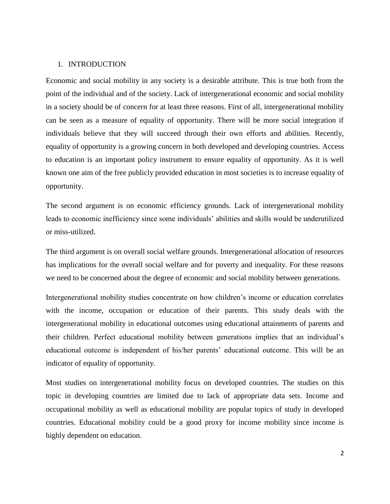## 1. INTRODUCTION

Economic and social mobility in any society is a desirable attribute. This is true both from the point of the individual and of the society. Lack of intergenerational economic and social mobility in a society should be of concern for at least three reasons. First of all, intergenerational mobility can be seen as a measure of equality of opportunity. There will be more social integration if individuals believe that they will succeed through their own efforts and abilities. Recently, equality of opportunity is a growing concern in both developed and developing countries. Access to education is an important policy instrument to ensure equality of opportunity. As it is well known one aim of the free publicly provided education in most societies is to increase equality of opportunity.

The second argument is on economic efficiency grounds. Lack of intergenerational mobility leads to economic inefficiency since some individuals' abilities and skills would be underutilized or miss-utilized.

The third argument is on overall social welfare grounds. Intergenerational allocation of resources has implications for the overall social welfare and for poverty and inequality. For these reasons we need to be concerned about the degree of economic and social mobility between generations.

Intergenerational mobility studies concentrate on how children's income or education correlates with the income, occupation or education of their parents. This study deals with the intergenerational mobility in educational outcomes using educational attainments of parents and their children. Perfect educational mobility between generations implies that an individual's educational outcome is independent of his/her parents' educational outcome. This will be an indicator of equality of opportunity.

Most studies on intergenerational mobility focus on developed countries. The studies on this topic in developing countries are limited due to lack of appropriate data sets. Income and occupational mobility as well as educational mobility are popular topics of study in developed countries. Educational mobility could be a good proxy for income mobility since income is highly dependent on education.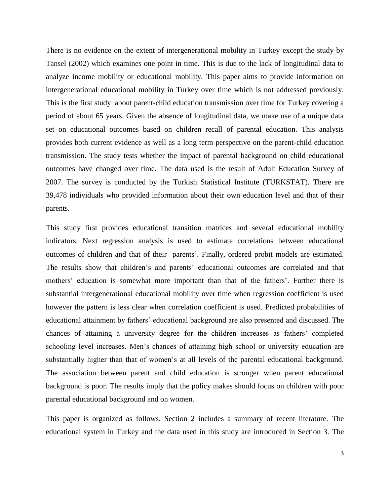There is no evidence on the extent of intergenerational mobility in Turkey except the study by Tansel (2002) which examines one point in time. This is due to the lack of longitudinal data to analyze income mobility or educational mobility. This paper aims to provide information on intergenerational educational mobility in Turkey over time which is not addressed previously. This is the first study about parent-child education transmission over time for Turkey covering a period of about 65 years. Given the absence of longitudinal data, we make use of a unique data set on educational outcomes based on children recall of parental education. This analysis provides both current evidence as well as a long term perspective on the parent-child education transmission. The study tests whether the impact of parental background on child educational outcomes have changed over time. The data used is the result of Adult Education Survey of 2007. The survey is conducted by the Turkish Statistical Institute (TURKSTAT). There are 39,478 individuals who provided information about their own education level and that of their parents.

This study first provides educational transition matrices and several educational mobility indicators. Next regression analysis is used to estimate correlations between educational outcomes of children and that of their parents'. Finally, ordered probit models are estimated. The results show that children's and parents' educational outcomes are correlated and that mothers' education is somewhat more important than that of the fathers'. Further there is substantial intergenerational educational mobility over time when regression coefficient is used however the pattern is less clear when correlation coefficient is used. Predicted probabilities of educational attainment by fathers' educational background are also presented and discussed. The chances of attaining a university degree for the children increases as fathers' completed schooling level increases. Men's chances of attaining high school or university education are substantially higher than that of women's at all levels of the parental educational background. The association between parent and child education is stronger when parent educational background is poor. The results imply that the policy makes should focus on children with poor parental educational background and on women.

This paper is organized as follows. Section 2 includes a summary of recent literature. The educational system in Turkey and the data used in this study are introduced in Section 3. The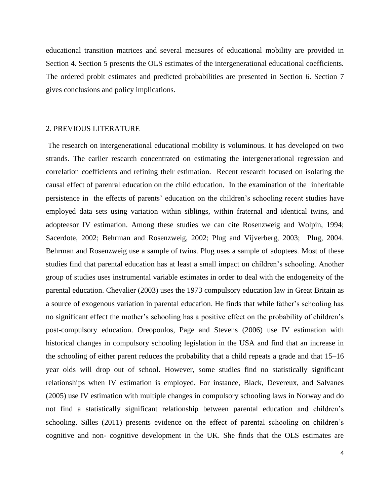educational transition matrices and several measures of educational mobility are provided in Section 4. Section 5 presents the OLS estimates of the intergenerational educational coefficients. The ordered probit estimates and predicted probabilities are presented in Section 6. Section 7 gives conclusions and policy implications.

#### 2. PREVIOUS LITERATURE

The research on intergenerational educational mobility is voluminous. It has developed on two strands. The earlier research concentrated on estimating the intergenerational regression and correlation coefficients and refining their estimation. Recent research focused on isolating the causal effect of parenral education on the child education. In the examination of the inheritable persistence in the effects of parents' education on the children's schooling recent studies have employed data sets using variation within siblings, within fraternal and identical twins, and adopteesor IV estimation. Among these studies we can cite Rosenzweig and Wolpin, 1994; Sacerdote, 2002; Behrman and Rosenzweig, 2002; Plug and Vijverberg, 2003; Plug, 2004. Behrman and Rosenzweig use a sample of twins. Plug uses a sample of adoptees. Most of these studies find that parental education has at least a small impact on children's schooling. Another group of studies uses instrumental variable estimates in order to deal with the endogeneity of the parental education. Chevalier (2003) uses the 1973 compulsory education law in Great Britain as a source of exogenous variation in parental education. He finds that while father's schooling has no significant effect the mother's schooling has a positive effect on the probability of children's post-compulsory education. Oreopoulos, Page and Stevens (2006) use IV estimation with historical changes in compulsory schooling legislation in the USA and find that an increase in the schooling of either parent reduces the probability that a child repeats a grade and that 15–16 year olds will drop out of school. However, some studies find no statistically significant relationships when IV estimation is employed. For instance, Black, Devereux, and Salvanes (2005) use IV estimation with multiple changes in compulsory schooling laws in Norway and do not find a statistically significant relationship between parental education and children's schooling. Silles (2011) presents evidence on the effect of parental schooling on children's cognitive and non- cognitive development in the UK. She finds that the OLS estimates are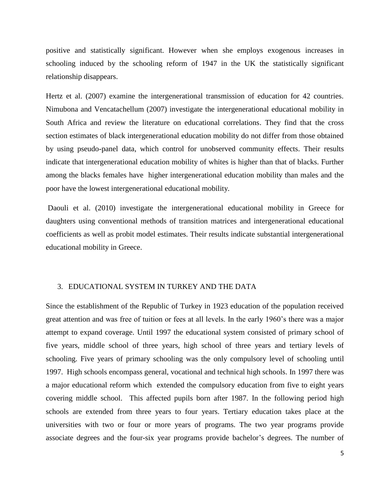positive and statistically significant. However when she employs exogenous increases in schooling induced by the schooling reform of 1947 in the UK the statistically significant relationship disappears.

Hertz et al. (2007) examine the intergenerational transmission of education for 42 countries. Nimubona and Vencatachellum (2007) investigate the intergenerational educational mobility in South Africa and review the literature on educational correlations. They find that the cross section estimates of black intergenerational education mobility do not differ from those obtained by using pseudo-panel data, which control for unobserved community effects. Their results indicate that intergenerational education mobility of whites is higher than that of blacks. Further among the blacks females have higher intergenerational education mobility than males and the poor have the lowest intergenerational educational mobility.

Daouli et al. (2010) investigate the intergenerational educational mobility in Greece for daughters using conventional methods of transition matrices and intergenerational educational coefficients as well as probit model estimates. Their results indicate substantial intergenerational educational mobility in Greece.

# 3. EDUCATIONAL SYSTEM IN TURKEY AND THE DATA

Since the establishment of the Republic of Turkey in 1923 education of the population received great attention and was free of tuition or fees at all levels. In the early 1960's there was a major attempt to expand coverage. Until 1997 the educational system consisted of primary school of five years, middle school of three years, high school of three years and tertiary levels of schooling. Five years of primary schooling was the only compulsory level of schooling until 1997. High schools encompass general, vocational and technical high schools. In 1997 there was a major educational reform which extended the compulsory education from five to eight years covering middle school. This affected pupils born after 1987. In the following period high schools are extended from three years to four years. Tertiary education takes place at the universities with two or four or more years of programs. The two year programs provide associate degrees and the four-six year programs provide bachelor's degrees. The number of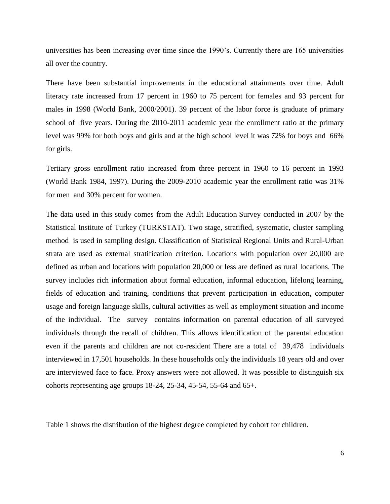universities has been increasing over time since the 1990's. Currently there are 165 universities all over the country.

There have been substantial improvements in the educational attainments over time. Adult literacy rate increased from 17 percent in 1960 to 75 percent for females and 93 percent for males in 1998 (World Bank, 2000/2001). 39 percent of the labor force is graduate of primary school of five years. During the 2010-2011 academic year the enrollment ratio at the primary level was 99% for both boys and girls and at the high school level it was 72% for boys and 66% for girls.

Tertiary gross enrollment ratio increased from three percent in 1960 to 16 percent in 1993 (World Bank 1984, 1997). During the 2009-2010 academic year the enrollment ratio was 31% for men and 30% percent for women.

The data used in this study comes from the Adult Education Survey conducted in 2007 by the Statistical Institute of Turkey (TURKSTAT). Two stage, stratified, systematic, cluster sampling method is used in sampling design. Classification of Statistical Regional Units and Rural-Urban strata are used as external stratification criterion. Locations with population over 20,000 are defined as urban and locations with population 20,000 or less are defined as rural locations. The survey includes rich information about formal education, informal education, lifelong learning, fields of education and training, conditions that prevent participation in education, computer usage and foreign language skills, cultural activities as well as employment situation and income of the individual. The survey contains information on parental education of all surveyed individuals through the recall of children. This allows identification of the parental education even if the parents and children are not co-resident There are a total of 39,478 individuals interviewed in 17,501 households. In these households only the individuals 18 years old and over are interviewed face to face. Proxy answers were not allowed. It was possible to distinguish six cohorts representing age groups 18-24, 25-34, 45-54, 55-64 and 65+.

Table 1 shows the distribution of the highest degree completed by cohort for children.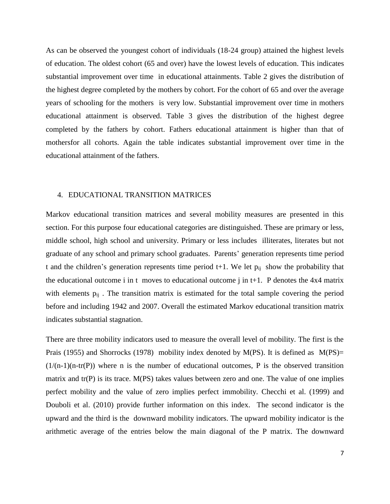As can be observed the youngest cohort of individuals (18-24 group) attained the highest levels of education. The oldest cohort (65 and over) have the lowest levels of education. This indicates substantial improvement over time in educational attainments. Table 2 gives the distribution of the highest degree completed by the mothers by cohort. For the cohort of 65 and over the average years of schooling for the mothers is very low. Substantial improvement over time in mothers educational attainment is observed. Table 3 gives the distribution of the highest degree completed by the fathers by cohort. Fathers educational attainment is higher than that of mothersfor all cohorts. Again the table indicates substantial improvement over time in the educational attainment of the fathers.

#### 4. EDUCATIONAL TRANSITION MATRICES

Markov educational transition matrices and several mobility measures are presented in this section. For this purpose four educational categories are distinguished. These are primary or less, middle school, high school and university. Primary or less includes illiterates, literates but not graduate of any school and primary school graduates. Parents' generation represents time period t and the children's generation represents time period t+1. We let  $p_{ii}$  show the probability that the educational outcome i in t moves to educational outcome j in t+1. P denotes the  $4x4$  matrix with elements  $p_{ij}$ . The transition matrix is estimated for the total sample covering the period before and including 1942 and 2007. Overall the estimated Markov educational transition matrix indicates substantial stagnation.

There are three mobility indicators used to measure the overall level of mobility. The first is the Prais (1955) and Shorrocks (1978) mobility index denoted by M(PS). It is defined as M(PS)=  $(1/(n-1)(n-tr(P))$  where n is the number of educational outcomes, P is the observed transition matrix and tr(P) is its trace. M(PS) takes values between zero and one. The value of one implies perfect mobility and the value of zero implies perfect immobility. Checchi et al. (1999) and Douboli et al. (2010) provide further information on this index. The second indicator is the upward and the third is the downward mobility indicators. The upward mobility indicator is the arithmetic average of the entries below the main diagonal of the P matrix. The downward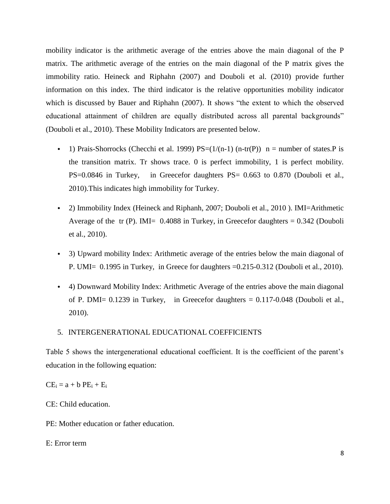mobility indicator is the arithmetic average of the entries above the main diagonal of the P matrix. The arithmetic average of the entries on the main diagonal of the P matrix gives the immobility ratio. Heineck and Riphahn (2007) and Douboli et al. (2010) provide further information on this index. The third indicator is the relative opportunities mobility indicator which is discussed by Bauer and Riphahn (2007). It shows "the extent to which the observed educational attainment of children are equally distributed across all parental backgrounds" (Douboli et al., 2010). These Mobility Indicators are presented below.

- 1) Prais-Shorrocks (Checchi et al. 1999)  $PS=(1/(n-1) (n-tr(P))$  n = number of states. P is the transition matrix. Tr shows trace. 0 is perfect immobility, 1 is perfect mobility. PS=0.0846 in Turkey, in Greecefor daughters PS= 0.663 to 0.870 (Douboli et al., 2010).This indicates high immobility for Turkey.
- 2) Immobility Index (Heineck and Riphanh, 2007; Douboli et al., 2010). IMI=Arithmetic Average of the tr (P). IMI=  $0.4088$  in Turkey, in Greecefor daughters =  $0.342$  (Douboli et al., 2010).
- 3) Upward mobility Index: Arithmetic average of the entries below the main diagonal of P. UMI= 0.1995 in Turkey, in Greece for daughters =0.215-0.312 (Douboli et al., 2010).
- 4) Downward Mobility Index: Arithmetic Average of the entries above the main diagonal of P. DMI= 0.1239 in Turkey, in Greecefor daughters = 0.117-0.048 (Douboli et al., 2010).
- 5. INTERGENERATIONAL EDUCATIONAL COEFFICIENTS

Table 5 shows the intergenerational educational coefficient. It is the coefficient of the parent's education in the following equation:

 $CE_i = a + b PE_i + E_i$ 

CE: Child education.

PE: Mother education or father education.

E: Error term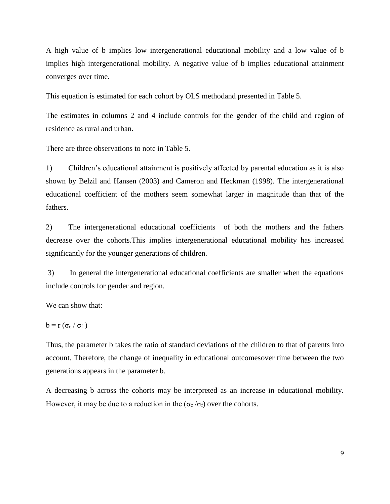A high value of b implies low intergenerational educational mobility and a low value of b implies high intergenerational mobility. A negative value of b implies educational attainment converges over time.

This equation is estimated for each cohort by OLS methodand presented in Table 5.

The estimates in columns 2 and 4 include controls for the gender of the child and region of residence as rural and urban.

There are three observations to note in Table 5.

1) Children's educational attainment is positively affected by parental education as it is also shown by Belzil and Hansen (2003) and Cameron and Heckman (1998). The intergenerational educational coefficient of the mothers seem somewhat larger in magnitude than that of the fathers.

2) The intergenerational educational coefficients of both the mothers and the fathers decrease over the cohorts.This implies intergenerational educational mobility has increased significantly for the younger generations of children.

3) In general the intergenerational educational coefficients are smaller when the equations include controls for gender and region.

We can show that:

$$
b = r \left( \sigma_c / \sigma_f \right)
$$

Thus, the parameter b takes the ratio of standard deviations of the children to that of parents into account. Therefore, the change of inequality in educational outcomesover time between the two generations appears in the parameter b.

A decreasing b across the cohorts may be interpreted as an increase in educational mobility. However, it may be due to a reduction in the ( $\sigma_c/\sigma_f$ ) over the cohorts.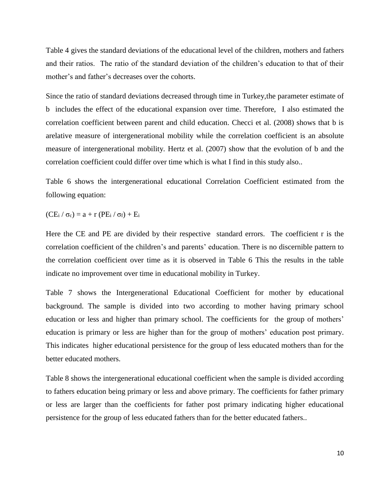Table 4 gives the standard deviations of the educational level of the children, mothers and fathers and their ratios. The ratio of the standard deviation of the children's education to that of their mother's and father's decreases over the cohorts.

Since the ratio of standard deviations decreased through time in Turkey,the parameter estimate of b includes the effect of the educational expansion over time. Therefore, I also estimated the correlation coefficient between parent and child education. Checci et al. (2008) shows that b is arelative measure of intergenerational mobility while the correlation coefficient is an absolute measure of intergenerational mobility. Hertz et al. (2007) show that the evolution of b and the correlation coefficient could differ over time which is what I find in this study also..

Table 6 shows the intergenerational educational Correlation Coefficient estimated from the following equation:

 $(CE_i / \sigma_c) = a + r (PE_i / \sigma_f) + E_i$ 

Here the CE and PE are divided by their respective standard errors. The coefficient r is the correlation coefficient of the children's and parents' education. There is no discernible pattern to the correlation coefficient over time as it is observed in Table 6 This the results in the table indicate no improvement over time in educational mobility in Turkey.

Table 7 shows the Intergenerational Educational Coefficient for mother by educational background. The sample is divided into two according to mother having primary school education or less and higher than primary school. The coefficients for the group of mothers' education is primary or less are higher than for the group of mothers' education post primary. This indicates higher educational persistence for the group of less educated mothers than for the better educated mothers.

Table 8 shows the intergenerational educational coefficient when the sample is divided according to fathers education being primary or less and above primary. The coefficients for father primary or less are larger than the coefficients for father post primary indicating higher educational persistence for the group of less educated fathers than for the better educated fathers..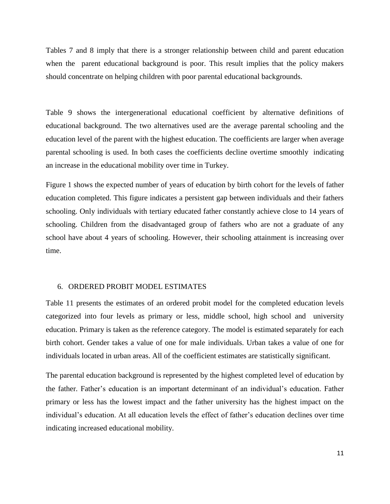Tables 7 and 8 imply that there is a stronger relationship between child and parent education when the parent educational background is poor. This result implies that the policy makers should concentrate on helping children with poor parental educational backgrounds.

Table 9 shows the intergenerational educational coefficient by alternative definitions of educational background. The two alternatives used are the average parental schooling and the education level of the parent with the highest education. The coefficients are larger when average parental schooling is used. In both cases the coefficients decline overtime smoothly indicating an increase in the educational mobility over time in Turkey.

Figure 1 shows the expected number of years of education by birth cohort for the levels of father education completed. This figure indicates a persistent gap between individuals and their fathers schooling. Only individuals with tertiary educated father constantly achieve close to 14 years of schooling. Children from the disadvantaged group of fathers who are not a graduate of any school have about 4 years of schooling. However, their schooling attainment is increasing over time.

## 6. ORDERED PROBIT MODEL ESTIMATES

Table 11 presents the estimates of an ordered probit model for the completed education levels categorized into four levels as primary or less, middle school, high school and university education. Primary is taken as the reference category. The model is estimated separately for each birth cohort. Gender takes a value of one for male individuals. Urban takes a value of one for individuals located in urban areas. All of the coefficient estimates are statistically significant.

The parental education background is represented by the highest completed level of education by the father. Father's education is an important determinant of an individual's education. Father primary or less has the lowest impact and the father university has the highest impact on the individual's education. At all education levels the effect of father's education declines over time indicating increased educational mobility.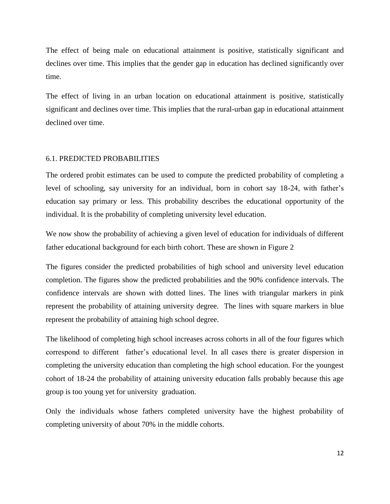The effect of being male on educational attainment is positive, statistically significant and declines over time. This implies that the gender gap in education has declined significantly over time.

The effect of living in an urban location on educational attainment is positive, statistically significant and declines over time. This implies that the rural-urban gap in educational attainment declined over time.

## 6.1. PREDICTED PROBABILITIES

The ordered probit estimates can be used to compute the predicted probability of completing a level of schooling, say university for an individual, born in cohort say 18-24, with father's education say primary or less. This probability describes the educational opportunity of the individual. It is the probability of completing university level education.

We now show the probability of achieving a given level of education for individuals of different father educational background for each birth cohort. These are shown in Figure 2

The figures consider the predicted probabilities of high school and university level education completion. The figures show the predicted probabilities and the 90% confidence intervals. The confidence intervals are shown with dotted lines. The lines with triangular markers in pink represent the probability of attaining university degree. The lines with square markers in blue represent the probability of attaining high school degree.

The likelihood of completing high school increases across cohorts in all of the four figures which correspond to different father's educational level. In all cases there is greater dispersion in completing the university education than completing the high school education. For the youngest cohort of 18-24 the probability of attaining university education falls probably because this age group is too young yet for university graduation.

Only the individuals whose fathers completed university have the highest probability of completing university of about 70% in the middle cohorts.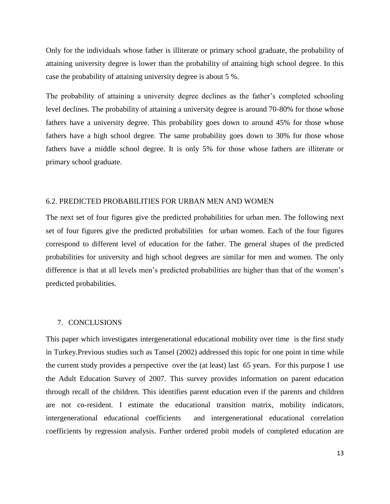Only for the individuals whose father is illiterate or primary school graduate, the probability of attaining university degree is lower than the probability of attaining high school degree. In this case the probability of attaining university degree is about 5 %.

The probability of attaining a university degree declines as the father's completed schooling level declines. The probability of attaining a university degree is around 70-80% for those whose fathers have a university degree. This probability goes down to around 45% for those whose fathers have a high school degree. The same probability goes down to 30% for those whose fathers have a middle school degree. It is only 5% for those whose fathers are illiterate or primary school graduate.

# 6.2. PREDICTED PROBABILITIES FOR URBAN MEN AND WOMEN

The next set of four figures give the predicted probabilities for urban men. The following next set of four figures give the predicted probabilities for urban women. Each of the four figures correspond to different level of education for the father. The general shapes of the predicted probabilities for university and high school degrees are similar for men and women. The only difference is that at all levels men's predicted probabilities are higher than that of the women's predicted probabilities.

#### 7. CONCLUSIONS

This paper which investigates intergenerational educational mobility over time is the first study in Turkey.Previous studies such as Tansel (2002) addressed this topic for one point in time while the current study provides a perspective over the (at least) last 65 years. For this purpose I use the Adult Education Survey of 2007. This survey provides information on parent education through recall of the children. This identifies parent education even if the parents and children are not co-resident. I estimate the educational transition matrix, mobility indicators, intergenerational educational coefficients and intergenerational educational correlation coefficients by regression analysis. Further ordered probit models of completed education are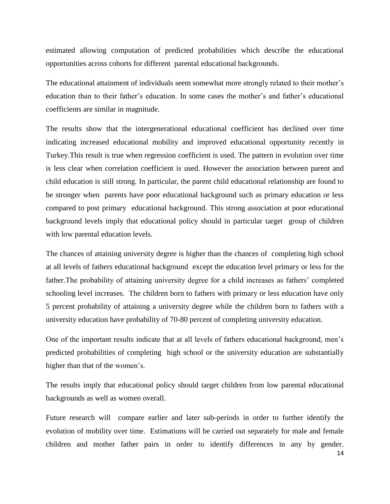estimated allowing computation of predicted probabilities which describe the educational opportunities across cohorts for different parental educational backgrounds.

The educational attainment of individuals seem somewhat more strongly related to their mother's education than to their father's education. In some cases the mother's and father's educational coefficients are similar in magnitude.

The results show that the intergenerational educational coefficient has declined over time indicating increased educational mobility and improved educational opportunity recently in Turkey.This result is true when regression coefficient is used. The pattern in evolution over time is less clear when correlation coefficient is used. However the association between parent and child education is still strong. In particular, the parent child educational relationship are found to be stronger when parents have poor educational background such as primary education or less compared to post primary educational background. This strong association at poor educational background levels imply that educational policy should in particular target group of children with low parental education levels.

The chances of attaining university degree is higher than the chances of completing high school at all levels of fathers educational background except the education level primary or less for the father.The probability of attaining university degree for a child increases as fathers' completed schooling level increases. The children born to fathers with primary or less education have only 5 percent probability of attaining a university degree while the children born to fathers with a university education have probability of 70-80 percent of completing university education.

One of the important results indicate that at all levels of fathers educational background, men's predicted probabilities of completing high school or the university education are substantially higher than that of the women's.

The results imply that educational policy should target children from low parental educational backgrounds as well as women overall.

Future research will compare earlier and later sub-periods in order to further identify the evolution of mobility over time. Estimations will be carried out separately for male and female children and mother father pairs in order to identify differences in any by gender.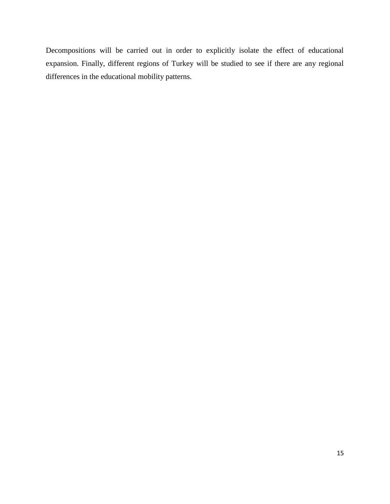Decompositions will be carried out in order to explicitly isolate the effect of educational expansion. Finally, different regions of Turkey will be studied to see if there are any regional differences in the educational mobility patterns.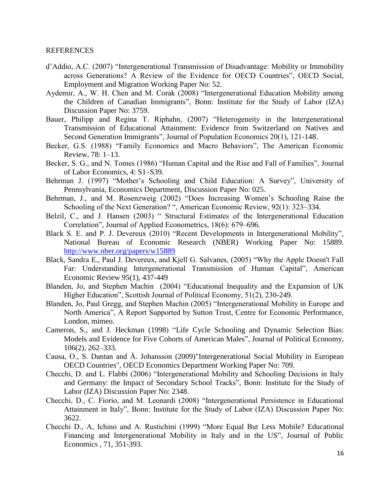## REFERENCES

- d'Addio, A.C. (2007) "Intergenerational Transmission of Disadvantage: Mobility or Immobility across Generations? A Review of the Evidence for OECD Countries", OECD Social, Employment and Migration Working Paper No: 52.
- Aydemir, A., W. H. Chen and M. Corak (2008) "Intergenerational Education Mobility among the Children of Canadian Immigrants", Bonn: Institute for the Study of Labor (IZA) Discussion Paper No: 3759.
- Bauer, Philipp and Regina T. Riphahn, (2007) "Heterogeneity in the Intergenerational Transmission of Educational Attainment: Evidence from Switzerland on Natives and Second Generation Immigrants", Journal of Population Economics 20(1), 121-148.
- Becker, G.S. (1988) "Family Economics and Macro Behaviors", The American Economic Review, 78: 1–13.
- Becker, S. G., and N. Tomes (1986) "Human Capital and the Rise and Fall of Families", Journal of Labor Economics, 4: S1–S39.
- Behrman J. (1997) "Mother's Schooling and Child Education: A Survey", University of Pennsylvania, Economics Department, Discussion Paper No: 025.
- Behrman, J., and M. Rosenzweig (2002) "Does Increasing Women's Schooling Raise the Schooling of the Next Generation? ", American Economic Review, 92(1): 323–334.
- Belzil, C., and J. Hansen (2003) "Structural Estimates of the Intergenerational Education Correlation", Journal of Applied Econometrics, 18(6): 679–696.
- Black S. E. and P. J. Devereux (2010) "Recent Developments in Intergenerational Mobility", National Bureau of Economic Research (NBER) Working Paper No: 15889. <http://www.nber.org/papers/w15889>
- Black, Sandra E., Paul J. Devereux, and Kjell G. Salvanes, (2005) "Why the Apple Doesn't Fall Far: Understanding Intergenerational Transmission of Human Capital", American Economic Review 95(1), 437-449
- Blanden, Jo, and Stephen Machin (2004) "Educational Inequality and the Expansion of UK Higher Education", Scottish Journal of Political Economy, 51(2), 230-249.
- Blanden, Jo, Paul Gregg, and Stephen Machin (2005) "Intergenerational Mobility in Europe and North America", A Report Supported by Sutton Trust, Centre for Economic Performance, London, mimeo.
- Cameron, S., and J. Heckman (1998) "Life Cycle Schooling and Dynamic Selection Bias: Models and Evidence for Five Cohorts of American Males", Journal of Political Economy, 106(2), 262–333.
- Causa, O., S. Dantan and Å. Johansson (2009)"Intergenerational Social Mobility in European OECD Countries", OECD Economics Department Working Paper No: 709.
- Checchi, D. and L. Flabbi (2006) "Intergenerational Mobility and Schooling Decisions in Italy and Germany: the Impact of Secondary School Tracks", Bonn: Institute for the Study of Labor (IZA) Discussion Paper No: 2348.
- Checchi, D., C. Fiorio, and M. Leonardi (2008) "Intergenerational Persistence in Educational Attainment in Italy", Bonn: Institute for the Study of Labor (IZA) Discussion Paper No: 3622.
- Checchi D., A, Ichino and A. Rustichini (1999) "More Equal But Less Mobile? Educational Financing and Intergenerational Mobility in Italy and in the US", Journal of Public Economics , 71, 351-393.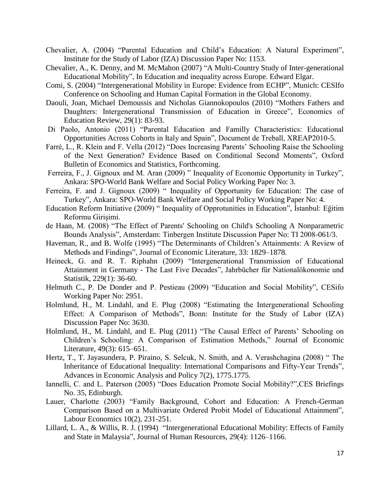- Chevalier, A. (2004) "Parental Education and Child's Education: A Natural Experiment", Institute for the Study of Labor (IZA) Discussion Paper No: 1153.
- Chevalier, A., K. Denny, and M. McMahon (2007) "A Multi-Country Study of Inter-generational Educational Mobility", In Education and inequality across Europe. Edward Elgar.
- Comi, S. (2004) "Intergenerational Mobility in Europe: Evidence from ECHP", Munich: CESIfo Conference on Schooling and Human Capital Formation in the Global Economy.
- Daouli, Joan, Michael Demoussis and Nicholas Giannokopoulos (2010) "Mothers Fathers and Daughters: Intergenerational Transmission of Education in Greece", Economics of Education Review, 29(1): 83-93.
- Di Paolo, Antonio (2011) "Parental Education and Familly Characteristics: Educational Opportunities Across Cohorts in Italy and Spain", Document de Treball, XREAP2010-5.
- Farré, L., R. Klein and F. Vella (2012) "Does Increasing Parents' Schooling Raise the Schooling of the Next Generation? Evidence Based on Conditional Second Moments", Oxford Bulletin of Economics and Statistics, Forthcoming.
- Ferreira, F., J. Gignoux and M. Aran (2009) " Inequality of Economic Opportunity in Turkey", Ankara: SPO-World Bank Welfare and Social Policy Working Paper No: 3.
- Ferreira, F. and J. Gignoux (2009) " Inequality of Opportunity for Education: The case of Turkey", Ankara: SPO-World Bank Welfare and Social Policy Working Paper No: 4.
- Education Reform Initiative (2009) " Inequality of Opprotunities in Education", İstanbul: Eğitim Reformu Girişimi.
- de Haan, M. (2008) "The Effect of Parents' Schooling on Child's Schooling A Nonparametric Bounds Analysis", Amsterdam: Tinbergen Institute Discussion Paper No: TI 2008-061/3.
- Haveman, R., and B. Wolfe (1995) "The Determinants of Children's Attainments: A Review of Methods and Findings", Journal of Economic Literature, 33: 1829–1878.
- Heineck, G. and R. T. Riphahn (2009) "Intergenerational Transmission of Educational Attainment in Germany - The Last Five Decades", Jahrbücher für Nationalökonomie und Statistik, 229(1): 36-60.
- Helmuth C., P. De Donder and P. Pestieau (2009) "Education and Social Mobility", CESifo Working Paper No: 2951.
- Holmlund, H., M. Lindahl, and E. Plug (2008) "Estimating the Intergenerational Schooling Effect: A Comparison of Methods", Bonn: Institute for the Study of Labor (IZA) Discussion Paper No: 3630.
- Holmlund, H., M. Lindahl, and E. Plug (2011) "The Causal Effect of Parents' Schooling on Children's Schooling: A Comparison of Estimation Methods," Journal of Economic Literature, 49(3): 615–651.
- Hertz, T., T. Jayasundera, P. Piraino, S. Selcuk, N. Smith, and A. Verashchagina (2008) " The Inheritance of Educational Inequality: International Comparisons and Fifty-Year Trends", Advances in Economic Analysis and Policy 7(2), 1775.1775.
- Iannelli, C. and L. Paterson (2005) "Does Education Promote Social Mobility?",CES Briefings No. 35, Edinburgh.
- Lauer, Charlotte (2003) "Family Background, Cohort and Education: A French-German Comparison Based on a Multivariate Ordered Probit Model of Educational Attainment", Labour Economics 10(2), 231-251.
- Lillard, L. A., & Willis, R. J. (1994) "Intergenerational Educational Mobility: Effects of Family and State in Malaysia", Journal of Human Resources, 29(4): 1126–1166.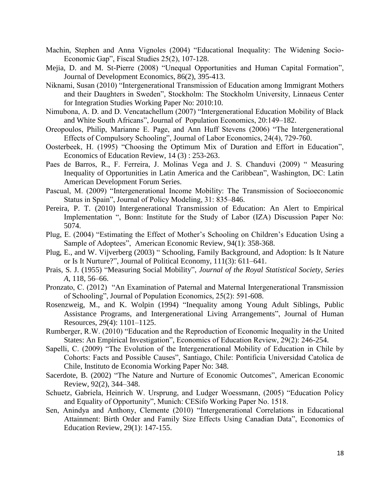- Machin, Stephen and Anna Vignoles (2004) "Educational Inequality: The Widening Socio-Economic Gap", Fiscal Studies 25(2), 107-128.
- Mejia, D. and M. St-Pierre (2008) "Unequal Opportunities and Human Capital Formation", Journal of Development Economics, 86(2), 395-413.
- Niknami, Susan (2010) "Intergenerational Transmission of Education among Immigrant Mothers and their Daughters in Sweden", Stockholm: The Stockholm University, Linnaeus Center for Integration Studies Working Paper No: 2010:10.
- Nimubona, A. D. and D. Vencatachellum (2007) "Intergenerational Education Mobility of Black and White South Africans", Journal of Population Economics, 20:149–182.
- Oreopoulos, Philip, Marianne E. Page, and Ann Huff Stevens (2006) "The Intergenerational Effects of Compulsory Schooling", Journal of Labor Economics, 24(4), 729-760.
- Oosterbeek, H. (1995) "Choosing the Optimum Mix of Duration and Effort in Education", Economics of Education Review, 14 (3) : 253-263.
- Paes de Barros, R., F. Ferreira, J. Molinas Vega and J. S. Chanduvi (2009) " Measuring Inequality of Opportunities in Latin America and the Caribbean", Washington, DC: Latin American Development Forum Series.
- Pascual, M. (2009) "Intergenerational Income Mobility: The Transmission of Socioeconomic Status in Spain", Journal of Policy Modeling, 31: 835–846.
- Pereira, P. T. (2010) Intergenerational Transmission of Education: An Alert to Empirical Implementation ", Bonn: Institute for the Study of Labor (IZA) Discussion Paper No: 5074.
- Plug, E. (2004) "Estimating the Effect of Mother's Schooling on Children's Education Using a Sample of Adoptees", American Economic Review, 94(1): 358-368.
- Plug, E., and W. Vijverberg (2003) " Schooling, Family Background, and Adoption: Is It Nature or Is It Nurture?", Journal of Political Economy, 111(3): 611–641.
- Prais, S. J. (1955) "Measuring Social Mobility", *Journal of the Royal Statistical Society, Series A*, 118, 56–66.
- Pronzato, C. (2012) "An Examination of Paternal and Maternal Intergenerational Transmission of Schooling", Journal of Population Economics, 25(2): 591-608.
- Rosenzweig, M., and K. Wolpin (1994) "Inequality among Young Adult Siblings, Public Assistance Programs, and Intergenerational Living Arrangements", Journal of Human Resources, 29(4): 1101–1125.
- Rumberger, R.W. (2010) "Education and the Reproduction of Economic Inequality in the United States: An Empirical Investigation", Economics of Education Review, 29(2): 246-254.
- Sapelli, C. (2009) "The Evolution of the Intergenerational Mobility of Education in Chile by Cohorts: Facts and Possible Causes", Santiago, Chile: Pontificia Universidad Catolica de Chile, Instituto de Economia Working Paper No: 348.
- Sacerdote, B. (2002) "The Nature and Nurture of Economic Outcomes", American Economic Review, 92(2), 344–348.
- Schuetz, Gabriela, Heinrich W. Ursprung, and Ludger Woessmann, (2005) "Education Policy and Equality of Opportunity", Munich: CESifo Working Paper No. 1518.
- Sen, Anindya and Anthony, Clemente (2010) "Intergenerational Correlations in Educational Attainment: Birth Order and Family Size Effects Using Canadian Data", Economics of Education Review, 29(1): 147-155.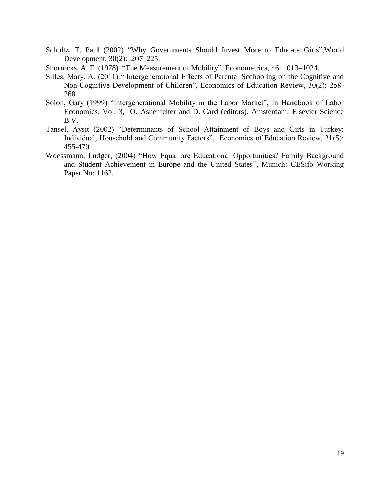- Schultz, T. Paul (2002) "Why Governments Should Invest More to Educate Girls",World Development, 30(2): 207–225.
- Shorrocks, A. F. (1978) "The Measurement of Mobility", Econometrica, 46: 1013–1024.
- Silles, Mary, A. (2011) " Intergenerational Effects of Parental Scchooling on the Cognitive and Non-Cognitive Development of Children", Economics of Education Review, 30(2): 258- 268.
- Solon, Gary (1999) "Intergenerational Mobility in the Labor Market", In Handbook of Labor Economics, Vol. 3, O. Ashenfelter and D. Card (editors). Amsterdam: Elsevier Science B.V.
- Tansel, Aysit (2002) "Determinants of School Attainment of Boys and Girls in Turkey: Individual, Household and Community Factors", Economics of Education Review, 21(5): 455-470.
- Woessmann, Ludger, (2004) "How Equal are Educational Opportunities? Family Background and Student Achievement in Europe and the United States", Munich: CESifo Working Paper No: 1162.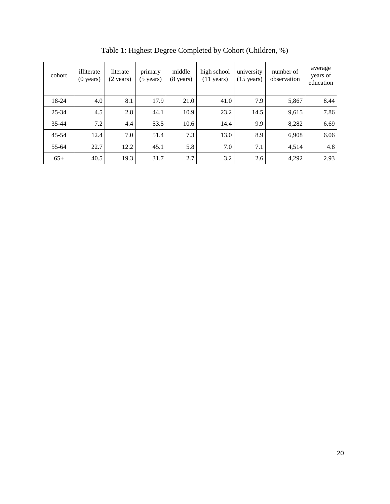| cohort    | illiterate<br>$(0 \text{ years})$ | literate<br>$(2 \text{ years})$ | primary<br>$(5 \text{ years})$ | middle<br>$(8 \text{ years})$ | high school<br>$(11 \text{ years})$ | university<br>$(15 \text{ years})$ | number of<br>observation | average<br>years of<br>education |
|-----------|-----------------------------------|---------------------------------|--------------------------------|-------------------------------|-------------------------------------|------------------------------------|--------------------------|----------------------------------|
| 18-24     | 4.0                               | 8.1                             | 17.9                           | 21.0                          | 41.0                                | 7.9                                | 5,867                    | 8.44                             |
| 25-34     | 4.5                               | 2.8                             | 44.1                           | 10.9                          | 23.2                                | 14.5                               | 9,615                    | 7.86                             |
| $35 - 44$ | 7.2                               | 4.4                             | 53.5                           | 10.6                          | 14.4                                | 9.9                                | 8,282                    | 6.69                             |
| $45 - 54$ | 12.4                              | 7.0                             | 51.4                           | 7.3                           | 13.0                                | 8.9                                | 6,908                    | 6.06                             |
| 55-64     | 22.7                              | 12.2                            | 45.1                           | 5.8                           | 7.0                                 | 7.1                                | 4,514                    | 4.8                              |
| $65+$     | 40.5                              | 19.3                            | 31.7                           | 2.7                           | 3.2                                 | 2.6                                | 4,292                    | 2.93                             |

Table 1: Highest Degree Completed by Cohort (Children, %)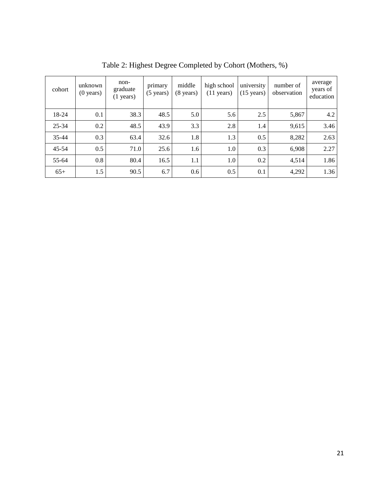| cohort    | unknown<br>$(0 \text{ years})$ | non-<br>graduate<br>$(1 \text{ years})$ | primary<br>$(5 \text{ years})$ | middle<br>$(8 \text{ years})$ | high school<br>$(11 \text{ years})$ | university<br>$(15 \text{ years})$ | number of<br>observation | average<br>years of<br>education |
|-----------|--------------------------------|-----------------------------------------|--------------------------------|-------------------------------|-------------------------------------|------------------------------------|--------------------------|----------------------------------|
| 18-24     | 0.1                            | 38.3                                    | 48.5                           | 5.0                           | 5.6                                 | 2.5                                | 5,867                    | 4.2                              |
| $25 - 34$ | 0.2                            | 48.5                                    | 43.9                           | 3.3                           | 2.8                                 | 1.4                                | 9,615                    | 3.46                             |
| $35 - 44$ | 0.3                            | 63.4                                    | 32.6                           | 1.8                           | 1.3                                 | 0.5                                | 8,282                    | 2.63                             |
| $45 - 54$ | 0.5                            | 71.0                                    | 25.6                           | 1.6                           | 1.0                                 | 0.3                                | 6,908                    | 2.27                             |
| 55-64     | 0.8                            | 80.4                                    | 16.5                           | 1.1                           | 1.0                                 | 0.2                                | 4,514                    | 1.86                             |
| $65+$     | 1.5                            | 90.5                                    | 6.7                            | 0.6                           | 0.5                                 | 0.1                                | 4,292                    | 1.36                             |

Table 2: Highest Degree Completed by Cohort (Mothers, %)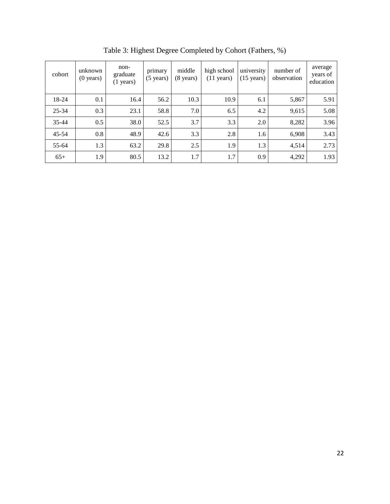| cohort    | unknown<br>$(0 \text{ years})$ | non-<br>graduate<br>$(1 \text{ years})$ | primary<br>$(5 \text{ years})$ | middle<br>(8 years) | high school<br>$(11 \text{ years})$ | university<br>$(15 \text{ years})$ | number of<br>observation | average<br>years of<br>education |
|-----------|--------------------------------|-----------------------------------------|--------------------------------|---------------------|-------------------------------------|------------------------------------|--------------------------|----------------------------------|
| 18-24     | 0.1                            | 16.4                                    | 56.2                           | 10.3                | 10.9                                | 6.1                                | 5,867                    | 5.91                             |
| 25-34     | 0.3                            | 23.1                                    | 58.8                           | 7.0                 | 6.5                                 | 4.2                                | 9,615                    | 5.08                             |
| $35 - 44$ | 0.5                            | 38.0                                    | 52.5                           | 3.7                 | 3.3                                 | 2.0                                | 8,282                    | 3.96                             |
| $45 - 54$ | 0.8                            | 48.9                                    | 42.6                           | 3.3                 | 2.8                                 | 1.6                                | 6,908                    | 3.43                             |
| 55-64     | 1.3                            | 63.2                                    | 29.8                           | 2.5                 | 1.9                                 | 1.3                                | 4,514                    | 2.73                             |
| $65+$     | 1.9                            | 80.5                                    | 13.2                           | 1.7                 | 1.7                                 | 0.9                                | 4,292                    | 1.93                             |

Table 3: Highest Degree Completed by Cohort (Fathers, %)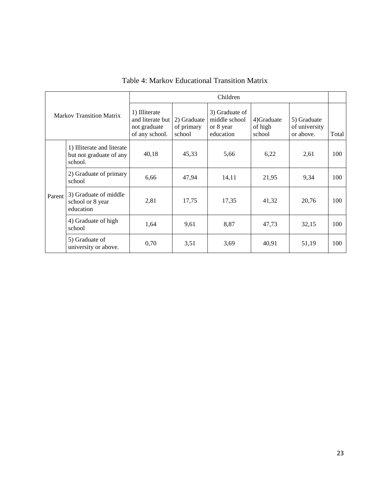| <b>Markov Transition Matrix</b> |                                                                  |                                                                     |                                     | Children                                                  |                                 |                                           |       |
|---------------------------------|------------------------------------------------------------------|---------------------------------------------------------------------|-------------------------------------|-----------------------------------------------------------|---------------------------------|-------------------------------------------|-------|
|                                 |                                                                  | 1) Illiterate<br>and literate but<br>not graduate<br>of any school. | 2) Graduate<br>of primary<br>school | 3) Graduate of<br>middle school<br>or 8 year<br>education | 4)Graduate<br>of high<br>school | 5) Graduate<br>of university<br>or above. | Total |
|                                 | 1) Illiterate and literate<br>but not graduate of any<br>school. | 40,18                                                               | 45,33                               | 5,66                                                      | 6,22                            | 2,61                                      | 100   |
| Parent                          | 2) Graduate of primary<br>school                                 | 6,66                                                                | 47,94                               | 14,11                                                     | 21,95                           | 9.34                                      | 100   |
|                                 | 3) Graduate of middle<br>school or 8 year<br>education           | 2,81                                                                | 17,75                               | 17,35                                                     | 41,32                           | 20,76                                     | 100   |
|                                 | 4) Graduate of high<br>school                                    | 1,64                                                                | 9,61                                | 8,87                                                      | 47,73                           | 32,15                                     | 100   |
|                                 | 5) Graduate of<br>university or above.                           | 0,70                                                                | 3,51                                | 3,69                                                      | 40,91                           | 51,19                                     | 100   |

# Table 4: Markov Educational Transition Matrix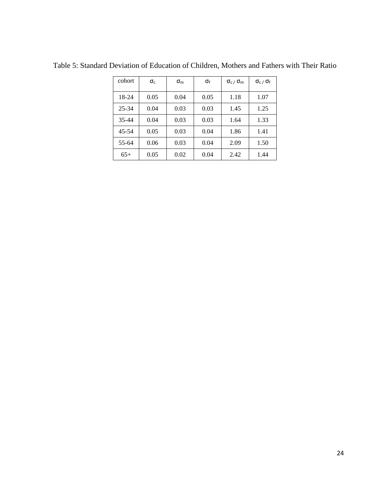| cohort | $\sigma_{c}$ | $\sigma_{\rm m}$ | σf   | $\sigma_{\rm c}$ / $\sigma_{\rm m}$ | $\sigma_{c}$ / $\sigma_{f}$ |
|--------|--------------|------------------|------|-------------------------------------|-----------------------------|
| 18-24  | 0.05         | 0.04             | 0.05 | 1.18                                | 1.07                        |
| 25-34  | 0.04         | 0.03             | 0.03 | 1.45                                | 1.25                        |
| 35-44  | 0.04         | 0.03             | 0.03 | 1.64                                | 1.33                        |
| 45-54  | 0.05         | 0.03             | 0.04 | 1.86                                | 1.41                        |
| 55-64  | 0.06         | 0.03             | 0.04 | 2.09                                | 1.50                        |
| $65+$  | 0.05         | 0.02             | 0.04 | 2.42                                | 1.44                        |

Table 5: Standard Deviation of Education of Children, Mothers and Fathers with Their Ratio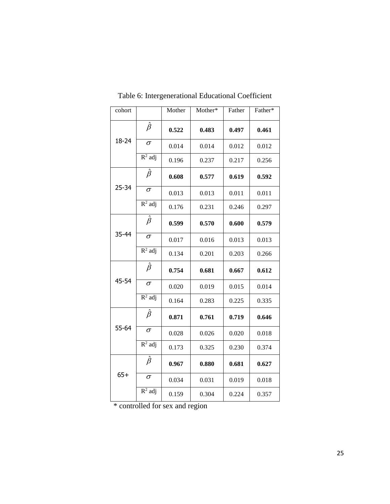| cohort    |                               | Mother | Mother* | Father | Father* |
|-----------|-------------------------------|--------|---------|--------|---------|
|           | $\hat{\beta}$                 | 0.522  | 0.483   | 0.497  | 0.461   |
| 18-24     | $\sigma$                      | 0.014  | 0.014   | 0.012  | 0.012   |
|           | $R^2$ adj                     | 0.196  | 0.237   | 0.217  | 0.256   |
|           | $\hat{\beta}$                 | 0.608  | 0.577   | 0.619  | 0.592   |
| $25 - 34$ | $\sigma$                      | 0.013  | 0.013   | 0.011  | 0.011   |
|           | $R^2$ adj                     | 0.176  | 0.231   | 0.246  | 0.297   |
| 35-44     | $\hat{\beta}$                 | 0.599  | 0.570   | 0.600  | 0.579   |
|           | $\sigma$                      | 0.017  | 0.016   | 0.013  | 0.013   |
|           | $R^2$ adj                     | 0.134  | 0.201   | 0.203  | 0.266   |
|           | $\hat{\beta}$                 | 0.754  | 0.681   | 0.667  | 0.612   |
| 45-54     | $\overline{\sigma}$           | 0.020  | 0.019   | 0.015  | 0.014   |
|           | $R^2$ adj                     | 0.164  | 0.283   | 0.225  | 0.335   |
|           | $\hat{\beta}$                 | 0.871  | 0.761   | 0.719  | 0.646   |
| 55-64     | $\sigma$                      | 0.028  | 0.026   | 0.020  | 0.018   |
|           | $R^2$ adj                     | 0.173  | 0.325   | 0.230  | 0.374   |
|           | $\hat{\beta}$                 | 0.967  | 0.880   | 0.681  | 0.627   |
| $65+$     | $\sigma$                      | 0.034  | 0.031   | 0.019  | 0.018   |
|           | $\overline{\mathsf{R}^2}$ adj | 0.159  | 0.304   | 0.224  | 0.357   |

Table 6: Intergenerational Educational Coefficient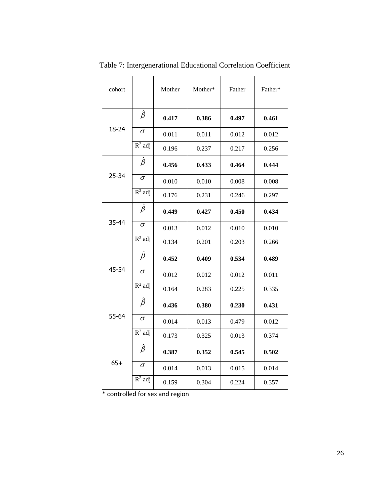| cohort    |                               | Mother | Mother* | Father | Father* |
|-----------|-------------------------------|--------|---------|--------|---------|
|           | $\hat{\beta}$                 | 0.417  | 0.386   | 0.497  | 0.461   |
| 18-24     | $\sigma$                      | 0.011  | 0.011   | 0.012  | 0.012   |
|           | $R^2$ adj                     | 0.196  | 0.237   | 0.217  | 0.256   |
|           | $\hat{\beta}$                 | 0.456  | 0.433   | 0.464  | 0.444   |
| $25 - 34$ | $\sigma$                      | 0.010  | 0.010   | 0.008  | 0.008   |
|           | $R^2$ adj                     | 0.176  | 0.231   | 0.246  | 0.297   |
|           | $\hat{\beta}$                 | 0.449  | 0.427   | 0.450  | 0.434   |
| 35-44     | $\sigma$                      | 0.013  | 0.012   | 0.010  | 0.010   |
|           | $R^2$ adj                     | 0.134  | 0.201   | 0.203  | 0.266   |
|           | $\hat{\beta}$                 | 0.452  | 0.409   | 0.534  | 0.489   |
| 45-54     | $\sigma$                      | 0.012  | 0.012   | 0.012  | 0.011   |
|           | $R^2$ adj                     | 0.164  | 0.283   | 0.225  | 0.335   |
|           | $\hat{\beta}$                 | 0.436  | 0.380   | 0.230  | 0.431   |
| 55-64     | $\sigma$                      | 0.014  | 0.013   | 0.479  | 0.012   |
|           | $R^2$ adj                     | 0.173  | 0.325   | 0.013  | 0.374   |
|           | $\hat{\beta}$                 | 0.387  | 0.352   | 0.545  | 0.502   |
| $65+$     | $\sigma$                      | 0.014  | 0.013   | 0.015  | 0.014   |
|           | $\overline{\mathsf{R}^2}$ adj | 0.159  | 0.304   | 0.224  | 0.357   |

Table 7: Intergenerational Educational Correlation Coefficient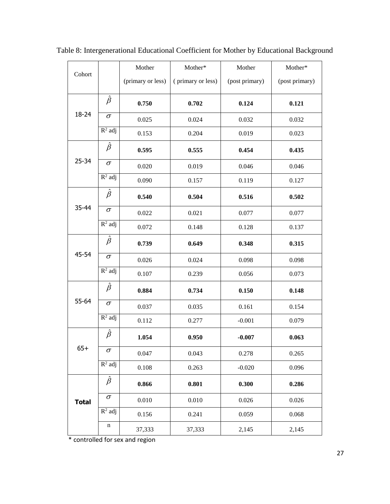| Cohort       |                               | Mother            | Mother*           | Mother         | Mother*        |
|--------------|-------------------------------|-------------------|-------------------|----------------|----------------|
|              |                               | (primary or less) | (primary or less) | (post primary) | (post primary) |
|              | $\hat{\beta}$                 | 0.750             | 0.702             | 0.124          | 0.121          |
| 18-24        | $\sigma$                      | 0.025             | 0.024             | 0.032          | 0.032          |
|              | $\overline{R^2}$ adj          | 0.153             | 0.204             | 0.019          | 0.023          |
|              | $\hat{\beta}$                 | 0.595             | 0.555             | 0.454          | 0.435          |
| $25 - 34$    | $\sigma$                      | 0.020             | 0.019             | 0.046          | 0.046          |
|              | $R^2$ adj                     | 0.090             | 0.157             | 0.119          | 0.127          |
|              | $\hat{\beta}$                 | 0.540             | 0.504             | 0.516          | 0.502          |
| 35-44        | $\sigma$                      | 0.022             | 0.021             | 0.077          | 0.077          |
|              | $R^2$ adj                     | 0.072             | 0.148             | 0.128          | 0.137          |
|              | $\hat{\beta}$                 | 0.739             | 0.649             | 0.348          | 0.315          |
| 45-54        | $\sigma$                      | 0.026             | 0.024             | 0.098          | 0.098          |
|              | $R^2$ adj                     | 0.107             | 0.239             | 0.056          | 0.073          |
|              | $\hat{\beta}$                 | 0.884             | 0.734             | 0.150          | 0.148          |
| 55-64        | $\sigma$                      | 0.037             | 0.035             | 0.161          | 0.154          |
|              | $\overline{R^2}$ adj          | 0.112             | 0.277             | $-0.001$       | 0.079          |
|              | $\hat{\beta}$                 | 1.054             | 0.950             | $-0.007$       | 0.063          |
| $65+$        | $\sigma$                      | 0.047             | 0.043             | 0.278          | 0.265          |
|              | $R^2$ adj                     | 0.108             | 0.263             | $-0.020$       | 0.096          |
|              | $\hat{\beta}$                 | 0.866             | 0.801             | 0.300          | 0.286          |
| <b>Total</b> | $\sigma$                      | 0.010             | 0.010             | 0.026          | 0.026          |
|              | $\overline{\mathbf{R}^2}$ adj | 0.156             | 0.241             | 0.059          | 0.068          |
|              | $\mathbf n$                   | 37,333            | 37,333            | 2,145          | 2,145          |

Table 8: Intergenerational Educational Coefficient for Mother by Educational Background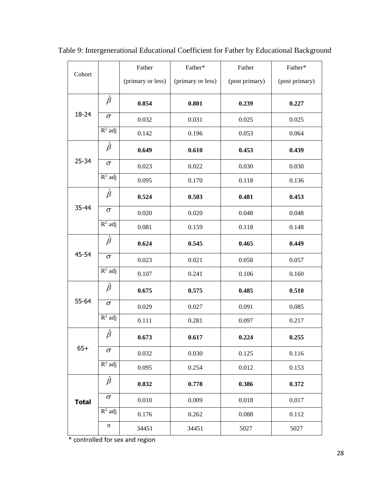| Cohort       |               | Father            | Father*           | Father         | Father*        |
|--------------|---------------|-------------------|-------------------|----------------|----------------|
|              |               | (primary or less) | (primary or less) | (post primary) | (post primary) |
|              | $\hat{\beta}$ | 0.854             | 0.801             | 0.239          | 0.227          |
| 18-24        | $\sigma$      | 0.032             | 0.031             | 0.025          | 0.025          |
|              | $R^2$ adj     | 0.142             | 0.196             | 0.053          | 0.064          |
|              | $\hat{\beta}$ | 0.649             | 0.610             | 0.453          | 0.439          |
| $25 - 34$    | $\sigma$      | 0.023             | 0.022             | 0.030          | 0.030          |
|              | $R^2$ adj     | 0.095             | 0.170             | 0.118          | 0.136          |
|              | $\hat{\beta}$ | 0.524             | 0.503             | 0.481          | 0.453          |
| 35-44        | $\sigma$      | 0.020             | 0.020             | 0.048          | 0.048          |
|              | $R^2$ adj     | 0.081             | 0.159             | 0.118          | 0.148          |
|              | $\hat{\beta}$ | 0.624             | 0.545             | 0.465          | 0.449          |
| 45-54        | $\sigma$      | 0.023             | 0.021             | 0.058          | 0.057          |
|              | $R^2$ adj     | 0.107             | 0.241             | 0.106          | 0.160          |
|              | $\hat{\beta}$ | 0.675             | 0.575             | 0.485          | 0.510          |
| 55-64        | $\sigma$      | 0.029             | 0.027             | 0.091          | 0.085          |
|              | $R^2$ adj     | 0.111             | 0.281             | 0.097          | 0.217          |
|              | $\hat{\beta}$ | 0.673             | 0.617             | 0.224          | 0.255          |
| $65+$        | $\sigma$      | 0.032             | 0.030             | 0.125          | 0.116          |
|              | $R^2$ adj     | 0.095             | 0.254             | 0.012          | 0.153          |
|              | $\hat{\beta}$ | 0.832             | 0.778             | 0.386          | 0.372          |
| <b>Total</b> | $\sigma$      | 0.010             | 0.009             | 0.018          | 0.017          |
|              | $R^2$ adj     | 0.176             | 0.262             | 0.088          | 0.112          |
|              | n             | 34451             | 34451             | 5027           | 5027           |

Table 9: Intergenerational Educational Coefficient for Father by Educational Background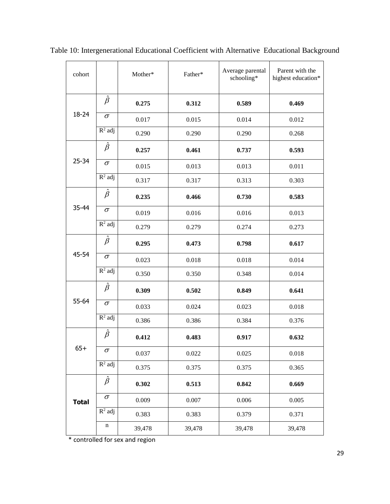| cohort       |                      | Mother* | Father* | Average parental<br>schooling* | Parent with the<br>highest education* |
|--------------|----------------------|---------|---------|--------------------------------|---------------------------------------|
|              | $\hat{\beta}$        | 0.275   | 0.312   | 0.589                          | 0.469                                 |
| $18 - 24$    | $\sigma$             | 0.017   | 0.015   | 0.014                          | 0.012                                 |
|              | $R^2$ adj            | 0.290   | 0.290   | 0.290                          | 0.268                                 |
|              | $\hat{\beta}$        | 0.257   | 0.461   | 0.737                          | 0.593                                 |
| $25 - 34$    | $\sigma$             | 0.015   | 0.013   | 0.013                          | 0.011                                 |
|              | $\overline{R^2}$ adj | 0.317   | 0.317   | 0.313                          | 0.303                                 |
|              | $\hat{\beta}$        | 0.235   | 0.466   | 0.730                          | 0.583                                 |
| 35-44        | $\sigma$             | 0.019   | 0.016   | 0.016                          | 0.013                                 |
|              | $\overline{R^2}$ adj | 0.279   | 0.279   | 0.274                          | 0.273                                 |
|              | $\hat{\beta}$        | 0.295   | 0.473   | 0.798                          | 0.617                                 |
| 45-54        | $\sigma$             | 0.023   | 0.018   | 0.018                          | 0.014                                 |
|              | $R^2$ adj            | 0.350   | 0.350   | 0.348                          | 0.014                                 |
|              | $\hat{\beta}$        | 0.309   | 0.502   | 0.849                          | 0.641                                 |
| 55-64        | $\sigma$             | 0.033   | 0.024   | 0.023                          | 0.018                                 |
|              | $R^2$ adj            | 0.386   | 0.386   | 0.384                          | 0.376                                 |
|              | $\hat{\beta}$        | 0.412   | 0.483   | 0.917                          | 0.632                                 |
| $65+$        | $\sigma$             | 0.037   | 0.022   | 0.025                          | 0.018                                 |
|              | $R^2$ adj            | 0.375   | 0.375   | 0.375                          | 0.365                                 |
|              | $\hat{\beta}$        | 0.302   | 0.513   | 0.842                          | 0.669                                 |
| <b>Total</b> | $\sigma$             | 0.009   | 0.007   | 0.006                          | 0.005                                 |
|              | $R^2$ adj            | 0.383   | 0.383   | 0.379                          | 0.371                                 |
|              | n                    | 39,478  | 39,478  | 39,478                         | 39,478                                |

Table 10: Intergenerational Educational Coefficient with Alternative Educational Background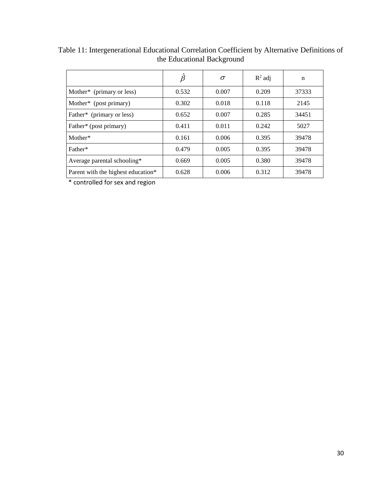|                                       | $\ddot{\beta}$ | $\sigma$ | $R^2$ adj | n     |
|---------------------------------------|----------------|----------|-----------|-------|
| Mother <sup>*</sup> (primary or less) | 0.532          | 0.007    | 0.209     | 37333 |
| Mother* (post primary)                | 0.302          | 0.018    | 0.118     | 2145  |
| Father* (primary or less)             | 0.652          | 0.007    | 0.285     | 34451 |
| Father* (post primary)                | 0.411          | 0.011    | 0.242     | 5027  |
| Mother*                               | 0.161          | 0.006    | 0.395     | 39478 |
| Father*                               | 0.479          | 0.005    | 0.395     | 39478 |
| Average parental schooling*           | 0.669          | 0.005    | 0.380     | 39478 |
| Parent with the highest education*    | 0.628          | 0.006    | 0.312     | 39478 |

Table 11: Intergenerational Educational Correlation Coefficient by Alternative Definitions of the Educational Background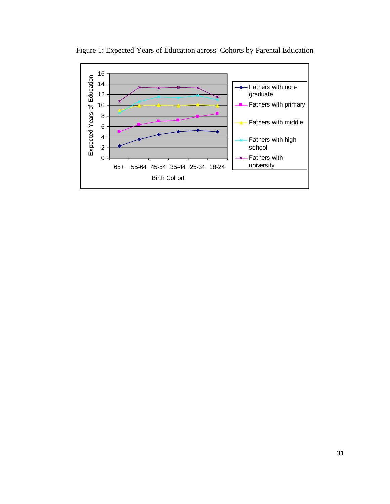

Figure 1: Expected Years of Education across Cohorts by Parental Education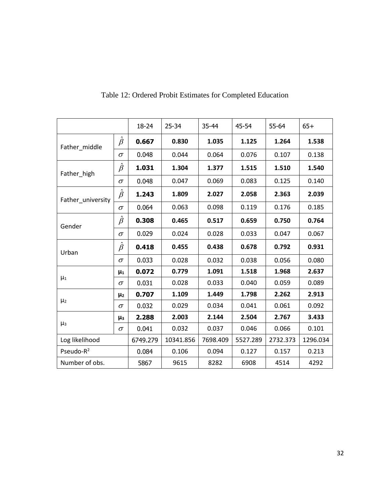|                       |               | $18 - 24$ | $25 - 34$ | 35-44    | 45-54    | 55-64    | $65+$    |
|-----------------------|---------------|-----------|-----------|----------|----------|----------|----------|
| Father middle         | $\hat{\beta}$ | 0.667     | 0.830     | 1.035    | 1.125    | 1.264    | 1.538    |
|                       | $\sigma$      | 0.048     | 0.044     | 0.064    | 0.076    | 0.107    | 0.138    |
| Father_high           | $\hat{\beta}$ | 1.031     | 1.304     | 1.377    | 1.515    | 1.510    | 1.540    |
|                       | $\sigma$      | 0.048     | 0.047     | 0.069    | 0.083    | 0.125    | 0.140    |
| Father_university     | $\hat{\beta}$ | 1.243     | 1.809     | 2.027    | 2.058    | 2.363    | 2.039    |
|                       | $\sigma$      | 0.064     | 0.063     | 0.098    | 0.119    | 0.176    | 0.185    |
| Gender                | $\hat{\beta}$ | 0.308     | 0.465     | 0.517    | 0.659    | 0.750    | 0.764    |
|                       | $\sigma$      | 0.029     | 0.024     | 0.028    | 0.033    | 0.047    | 0.067    |
| Urban                 | $\hat{\beta}$ | 0.418     | 0.455     | 0.438    | 0.678    | 0.792    | 0.931    |
|                       | $\sigma$      | 0.033     | 0.028     | 0.032    | 0.038    | 0.056    | 0.080    |
|                       | $\mu_1$       | 0.072     | 0.779     | 1.091    | 1.518    | 1.968    | 2.637    |
| $\mu_1$               | $\sigma$      | 0.031     | 0.028     | 0.033    | 0.040    | 0.059    | 0.089    |
|                       | $\mu_2$       | 0.707     | 1.109     | 1.449    | 1.798    | 2.262    | 2.913    |
| $\mu_2$               | $\sigma$      | 0.032     | 0.029     | 0.034    | 0.041    | 0.061    | 0.092    |
|                       | $\mu_3$       | 2.288     | 2.003     | 2.144    | 2.504    | 2.767    | 3.433    |
| $\mu_3$               | $\sigma$      | 0.041     | 0.032     | 0.037    | 0.046    | 0.066    | 0.101    |
| Log likelihood        |               | 6749.279  | 10341.856 | 7698.409 | 5527.289 | 2732.373 | 1296.034 |
| Pseudo-R <sup>2</sup> |               | 0.084     | 0.106     | 0.094    | 0.127    | 0.157    | 0.213    |
| Number of obs.        |               | 5867      | 9615      | 8282     | 6908     | 4514     | 4292     |

Table 12: Ordered Probit Estimates for Completed Education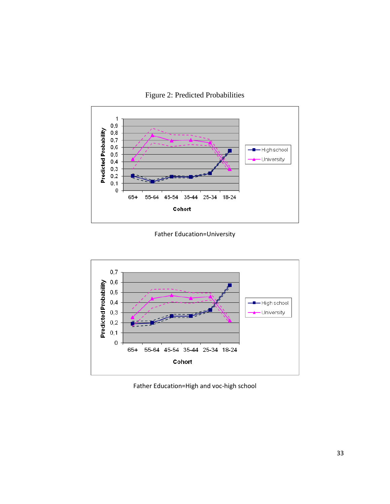



Father Education=University



Father Education=High and voc-high school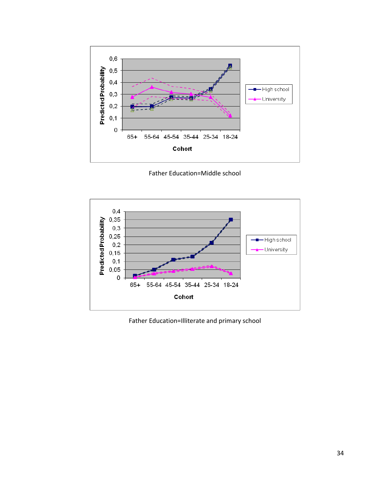

Father Education=Middle school



Father Education=Illiterate and primary school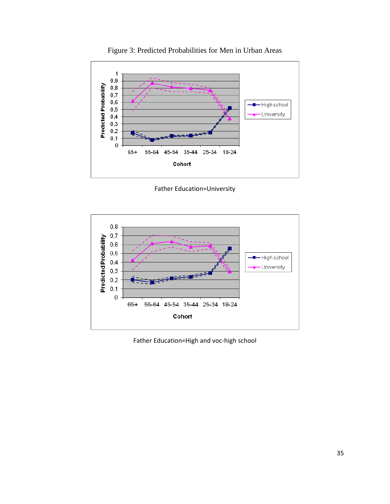

Figure 3: Predicted Probabilities for Men in Urban Areas

Father Education=University



Father Education=High and voc-high school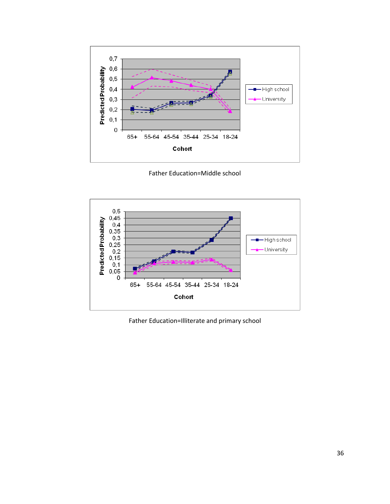

Father Education=Middle school



Father Education=Illiterate and primary school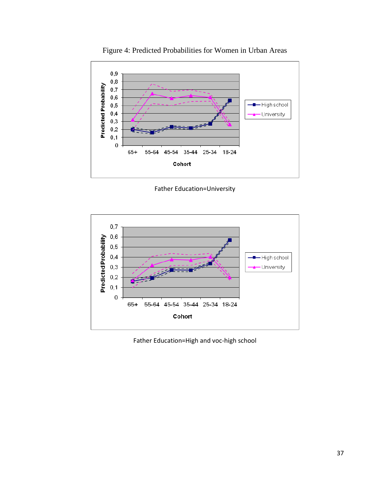

Figure 4: Predicted Probabilities for Women in Urban Areas

Father Education=University



Father Education=High and voc-high school